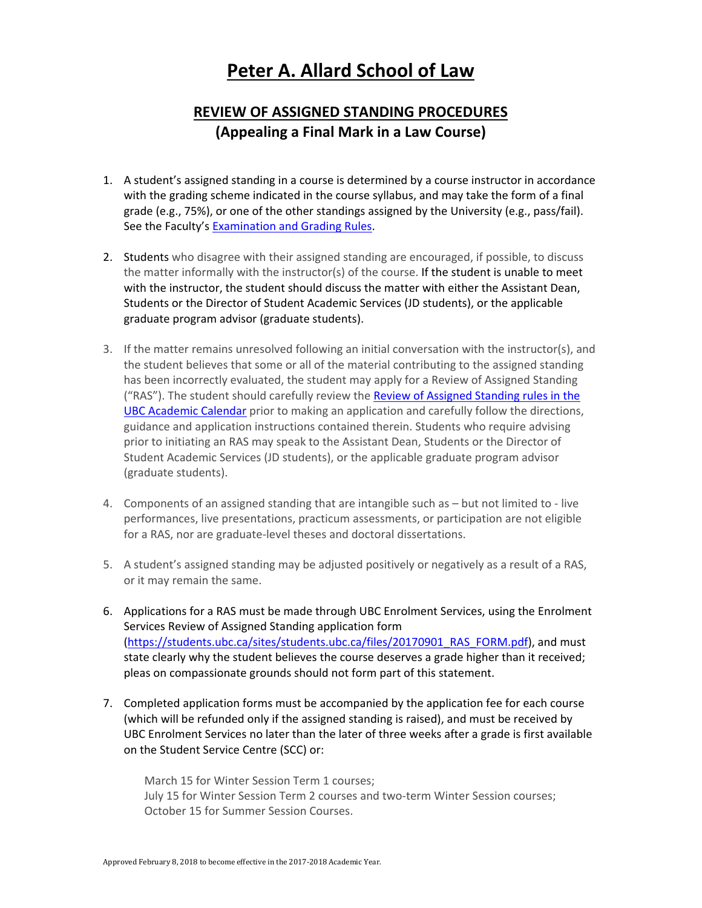## **Peter A. Allard School of Law**

## **REVIEW OF ASSIGNED STANDING PROCEDURES (Appealing a Final Mark in a Law Course)**

- 1. A student's assigned standing in a course is determined by a course instructor in accordance with the grading scheme indicated in the course syllabus, and may take the form of a final grade (e.g., 75%), or one of the other standings assigned by the University (e.g., pass/fail). See the Faculty's **Examination and Grading Rules**.
- 2. Students who disagree with their assigned standing are encouraged, if possible, to discuss the matter informally with the instructor(s) of the course. If the student is unable to meet with the instructor, the student should discuss the matter with either the Assistant Dean, Students or the Director of Student Academic Services (JD students), or the applicable graduate program advisor (graduate students).
- 3. If the matter remains unresolved following an initial conversation with the instructor(s), and the student believes that some or all of the material contributing to the assigned standing has been incorrectly evaluated, the student may apply for a Review of Assigned Standing ("RAS"). The student should carefully review the Review of Assigned Standing rules in the UBC Academic Calendar prior to making an application and carefully follow the directions, guidance and application instructions contained therein. Students who require advising prior to initiating an RAS may speak to the Assistant Dean, Students or the Director of Student Academic Services (JD students), or the applicable graduate program advisor (graduate students).
- 4. Components of an assigned standing that are intangible such as but not limited to ‐ live performances, live presentations, practicum assessments, or participation are not eligible for a RAS, nor are graduate‐level theses and doctoral dissertations.
- 5. A student's assigned standing may be adjusted positively or negatively as a result of a RAS, or it may remain the same.
- 6. Applications for a RAS must be made through UBC Enrolment Services, using the Enrolment Services Review of Assigned Standing application form (https://students.ubc.ca/sites/students.ubc.ca/files/20170901\_RAS\_FORM.pdf), and must state clearly why the student believes the course deserves a grade higher than it received; pleas on compassionate grounds should not form part of this statement.
- 7. Completed application forms must be accompanied by the application fee for each course (which will be refunded only if the assigned standing is raised), and must be received by UBC Enrolment Services no later than the later of three weeks after a grade is first available on the Student Service Centre (SCC) or:

March 15 for Winter Session Term 1 courses; July 15 for Winter Session Term 2 courses and two-term Winter Session courses; October 15 for Summer Session Courses.